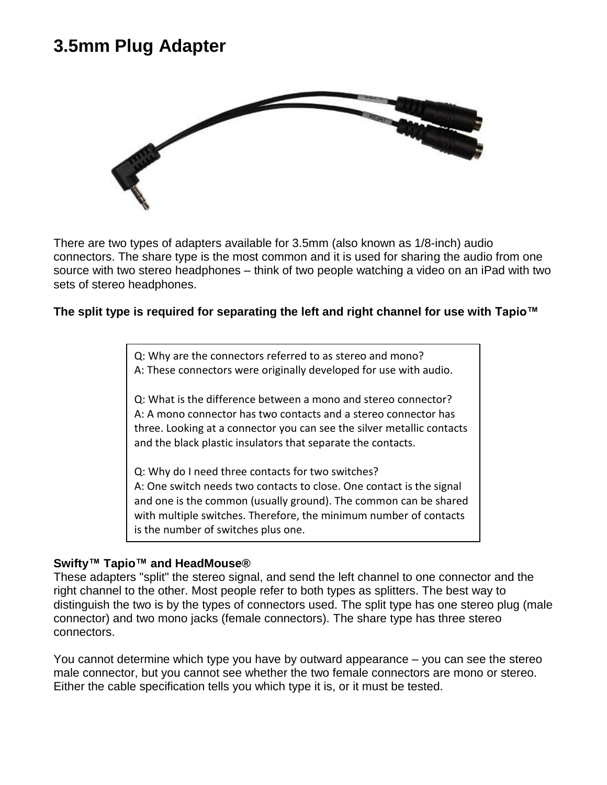## **3.5mm Plug Adapter**



There are two types of adapters available for 3.5mm (also known as 1/8-inch) audio connectors. The share type is the most common and it is used for sharing the audio from one source with two stereo headphones – think of two people watching a video on an iPad with two sets of stereo headphones.

### **The split type is required for separating the left and right channel for use with Tapio™**

Q: Why are the connectors referred to as stereo and mono? A: These connectors were originally developed for use with audio.

Q: What is the difference between a mono and stereo connector? A: A mono connector has two contacts and a stereo connector has three. Looking at a connector you can see the silver metallic contacts and the black plastic insulators that separate the contacts.

Q: Why do I need three contacts for two switches? A: One switch needs two contacts to close. One contact is the signal and one is the common (usually ground). The common can be shared with multiple switches. Therefore, the minimum number of contacts is the number of switches plus one.

#### **Swifty™ Tapio™ and HeadMouse®**

These adapters "split" the stereo signal, and send the left channel to one connector and the right channel to the other. Most people refer to both types as splitters. The best way to distinguish the two is by the types of connectors used. The split type has one stereo plug (male connector) and two mono jacks (female connectors). The share type has three stereo connectors.

You cannot determine which type you have by outward appearance – you can see the stereo male connector, but you cannot see whether the two female connectors are mono or stereo. Either the cable specification tells you which type it is, or it must be tested.